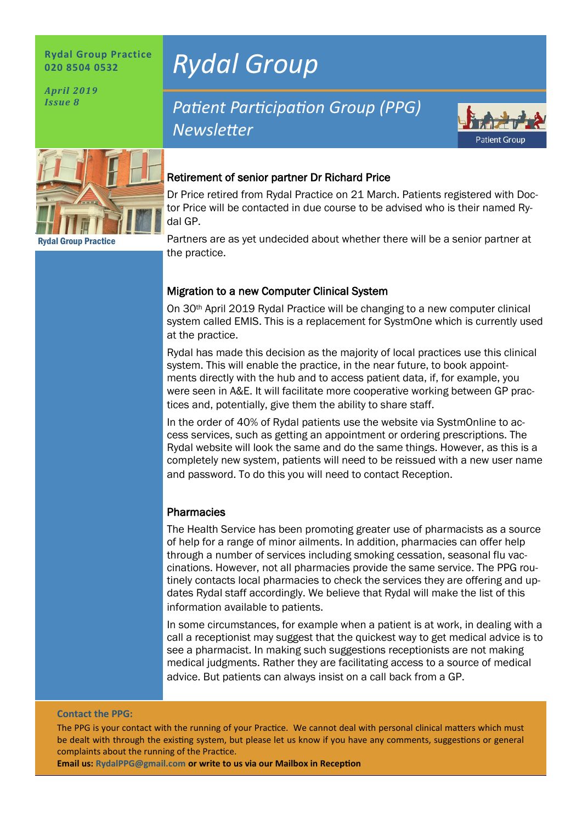#### **Rydal Group Practice 020 8504 0532**

*April 2019 Issue 8*

Rydal Group Practice

# *Rydal Group*

## *Patient Participation Group (PPG) Newsletter*



#### Retirement of senior partner Dr Richard Price

Dr Price retired from Rydal Practice on 21 March. Patients registered with Doctor Price will be contacted in due course to be advised who is their named Rydal GP.

Partners are as yet undecided about whether there will be a senior partner at the practice.

#### Migration to a new Computer Clinical System

On 30th April 2019 Rydal Practice will be changing to a new computer clinical system called EMIS. This is a replacement for SystmOne which is currently used at the practice.

Rydal has made this decision as the majority of local practices use this clinical system. This will enable the practice, in the near future, to book appointments directly with the hub and to access patient data, if, for example, you were seen in A&E. It will facilitate more cooperative working between GP practices and, potentially, give them the ability to share staff.

In the order of 40% of Rydal patients use the website via SystmOnline to access services, such as getting an appointment or ordering prescriptions. The Rydal website will look the same and do the same things. However, as this is a completely new system, patients will need to be reissued with a new user name and password. To do this you will need to contact Reception.

#### **Pharmacies**

The Health Service has been promoting greater use of pharmacists as a source of help for a range of minor ailments. In addition, pharmacies can offer help through a number of services including smoking cessation, seasonal flu vaccinations. However, not all pharmacies provide the same service. The PPG routinely contacts local pharmacies to check the services they are offering and updates Rydal staff accordingly. We believe that Rydal will make the list of this information available to patients.

In some circumstances, for example when a patient is at work, in dealing with a call a receptionist may suggest that the quickest way to get medical advice is to see a pharmacist. In making such suggestions receptionists are not making medical judgments. Rather they are facilitating access to a source of medical advice. But patients can always insist on a call back from a GP.

#### **Contact the PPG:**

The PPG is your contact with the running of your Practice. We cannot deal with personal clinical matters which must be dealt with through the existing system, but please let us know if you have any comments, suggestions or general complaints about the running of the Practice.

**Email us: RydalPPG@gmail.com or write to us via our Mailbox in Reception**